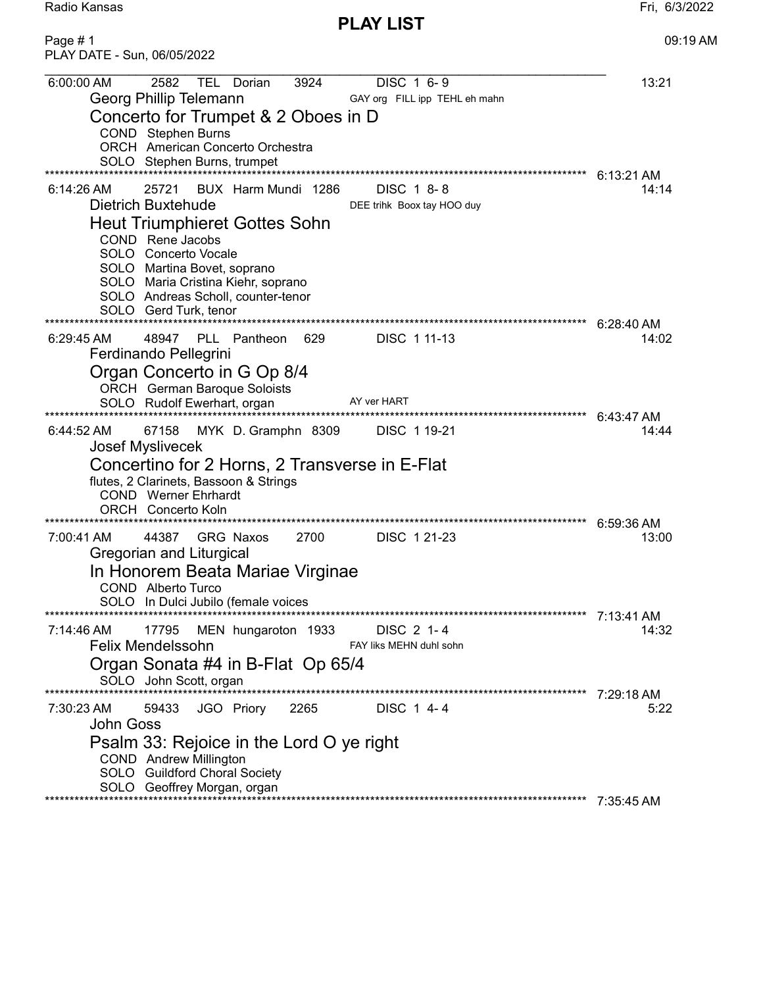Radio Kansas Fri, 6/3/2022

PLAY LIST

| Page #1<br>PLAY DATE - Sun, 06/05/2022                                                                                                                                                                                                                                                                                                                                                       | 09:19 AM                         |
|----------------------------------------------------------------------------------------------------------------------------------------------------------------------------------------------------------------------------------------------------------------------------------------------------------------------------------------------------------------------------------------------|----------------------------------|
| 2582<br>DISC 1 6-9<br>6:00:00 AM<br><b>TEL</b><br>3924<br>Dorian<br>Georg Phillip Telemann<br>GAY org FILL ipp TEHL eh mahn<br>Concerto for Trumpet & 2 Oboes in D<br>COND Stephen Burns<br><b>ORCH</b> American Concerto Orchestra<br>SOLO Stephen Burns, trumpet                                                                                                                           | 13:21<br>$6:13:21$ AM            |
| $6:14:26$ AM<br>BUX Harm Mundi 1286<br>DISC 1 8-8<br>25721<br>Dietrich Buxtehude<br>DEE trihk Boox tay HOO duy<br>Heut Triumphieret Gottes Sohn<br>COND Rene Jacobs<br>SOLO Concerto Vocale<br>SOLO Martina Bovet, soprano<br>SOLO Maria Cristina Kiehr, soprano<br>SOLO Andreas Scholl, counter-tenor<br>SOLO Gerd Turk, tenor<br>************************<br>***************************** | 14:14<br>6:28:40 AM              |
| $6:29:45$ AM<br>PLL Pantheon<br>629<br>DISC 1 11-13<br>48947<br>Ferdinando Pellegrini<br>Organ Concerto in G Op 8/4<br><b>ORCH</b> German Baroque Soloists<br>AY ver HART<br>SOLO Rudolf Ewerhart, organ                                                                                                                                                                                     | 14:02<br>6:43:47 AM              |
| 67158<br>MYK D. Gramphn 8309<br>DISC 1 19-21<br>$6:44:52 \text{ AM}$<br>Josef Myslivecek<br>Concertino for 2 Horns, 2 Transverse in E-Flat<br>flutes, 2 Clarinets, Bassoon & Strings<br><b>COND</b> Werner Ehrhardt<br><b>ORCH</b> Concerto Koln                                                                                                                                             | 14:44<br>6:59:36 AM              |
| 2700<br>7:00:41 AM<br>44387<br><b>GRG Naxos</b><br>DISC 1 21-23<br>Gregorian and Liturgical<br>In Honorem Beata Mariae Virginae<br>COND Alberto Turco<br>SOLO In Dulci Jubilo (female voices                                                                                                                                                                                                 | 13:00                            |
| DISC 2 1-4<br>7:14:46 AM<br>17795<br>MEN hungaroton 1933<br><b>Felix Mendelssohn</b><br>FAY liks MEHN duhl sohn<br>Organ Sonata #4 in B-Flat Op 65/4<br>SOLO John Scott, organ                                                                                                                                                                                                               | 7:13:41 AM<br>14:32              |
| 2265<br>JGO Priory<br>DISC 1 4-4<br>7:30:23 AM<br>59433<br>John Goss<br>Psalm 33: Rejoice in the Lord O ye right<br><b>COND</b> Andrew Millington<br>SOLO Guildford Choral Society<br>SOLO Geoffrey Morgan, organ                                                                                                                                                                            | 7:29:18 AM<br>5:22<br>7:35:45 AM |
|                                                                                                                                                                                                                                                                                                                                                                                              |                                  |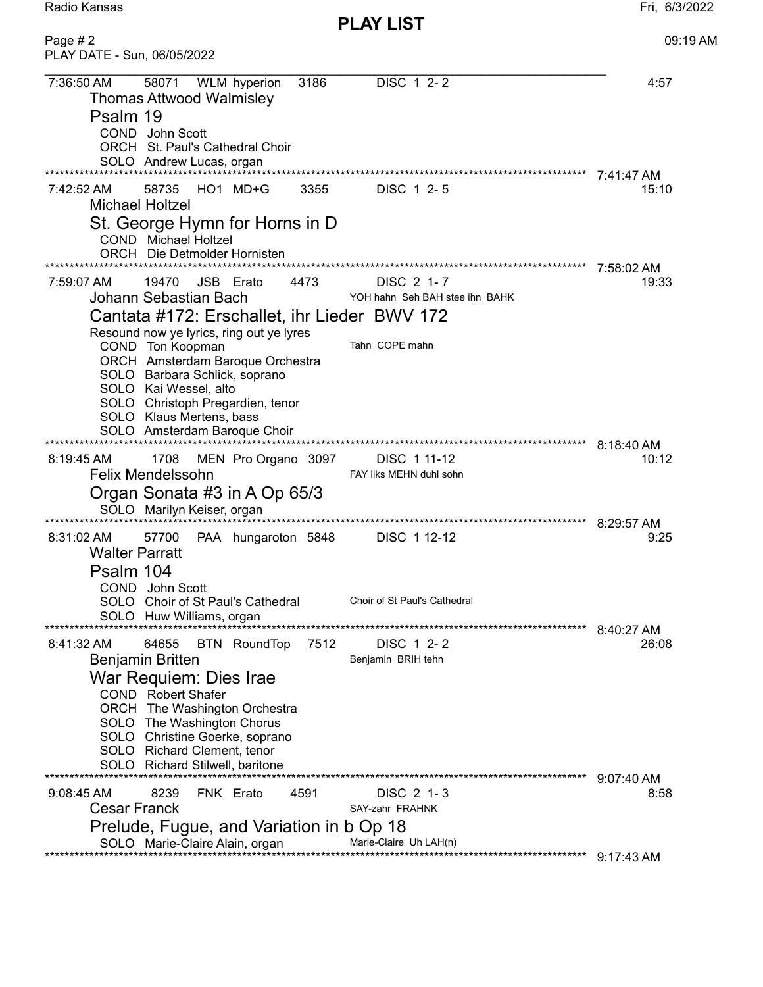| Radio Kansas                            |       |               |      |                  | Fri, 6/3/2022 |
|-----------------------------------------|-------|---------------|------|------------------|---------------|
|                                         |       |               |      | <b>PLAY LIST</b> |               |
| Page # 2<br>PLAY DATE - Sun, 06/05/2022 |       |               |      |                  | $09:19$ AM    |
| 7:36:50 AM                              | 58071 | WI M hvnerion | 3186 | DISC 1 2-2       | 4:57          |

| 7:36:50 AM                          | <b>Thomas Attwood Walmisley</b>             |           | 58071 WLM hyperion                                                    | 3186 | DISC 1 2-2                    |                              |                                |              | 4:57  |
|-------------------------------------|---------------------------------------------|-----------|-----------------------------------------------------------------------|------|-------------------------------|------------------------------|--------------------------------|--------------|-------|
| Psalm 19                            | COND John Scott<br>SOLO Andrew Lucas, organ |           | ORCH St. Paul's Cathedral Choir                                       |      |                               |                              |                                |              |       |
|                                     | *******************                         |           |                                                                       |      |                               |                              |                                | 7:41:47 AM   |       |
| 7:42:52 AM                          | 58735<br><b>Michael Holtzel</b>             |           | $HO1$ MD+G                                                            | 3355 | DISC 1 2-5                    |                              |                                |              | 15:10 |
|                                     | <b>COND</b> Michael Holtzel                 |           | St. George Hymn for Horns in D<br><b>ORCH</b> Die Detmolder Hornisten |      |                               |                              |                                |              |       |
| 7:59:07 AM                          | 19470                                       | JSB Erato |                                                                       | 4473 | DISC 2 1-7                    |                              |                                | 7:58:02 AM   | 19:33 |
|                                     | Johann Sebastian Bach                       |           |                                                                       |      |                               |                              | YOH hahn Seh BAH stee ihn BAHK |              |       |
|                                     |                                             |           | Cantata #172: Erschallet, ihr Lieder BWV 172                          |      |                               |                              |                                |              |       |
|                                     |                                             |           | Resound now ye lyrics, ring out ye lyres                              |      |                               |                              |                                |              |       |
|                                     | COND Ton Koopman                            |           |                                                                       |      | Tahn COPE mahn                |                              |                                |              |       |
|                                     |                                             |           | ORCH Amsterdam Baroque Orchestra                                      |      |                               |                              |                                |              |       |
|                                     |                                             |           | SOLO Barbara Schlick, soprano                                         |      |                               |                              |                                |              |       |
|                                     | SOLO Kai Wessel, alto                       |           |                                                                       |      |                               |                              |                                |              |       |
|                                     | SOLO Klaus Mertens, bass                    |           | SOLO Christoph Pregardien, tenor                                      |      |                               |                              |                                |              |       |
|                                     |                                             |           | SOLO Amsterdam Baroque Choir                                          |      |                               |                              |                                |              |       |
|                                     |                                             |           | **********************************                                    |      |                               |                              | *******************            | $8:18:40$ AM |       |
| $8:19:45$ AM                        | 1708                                        |           | MEN Pro Organo 3097                                                   |      | DISC 1 11-12                  |                              |                                |              | 10:12 |
|                                     | <b>Felix Mendelssohn</b>                    |           |                                                                       |      |                               | FAY liks MEHN duhl sohn      |                                |              |       |
|                                     |                                             |           | Organ Sonata #3 in A Op 65/3                                          |      |                               |                              |                                |              |       |
|                                     | SOLO Marilyn Keiser, organ                  |           |                                                                       |      |                               |                              |                                | 8:29:57 AM   |       |
| 8:31:02 AM<br><b>Walter Parratt</b> | 57700                                       |           | PAA hungaroton 5848                                                   |      | DISC 112-12                   |                              |                                |              | 9:25  |
| Psalm 104                           |                                             |           |                                                                       |      |                               |                              |                                |              |       |
|                                     | COND John Scott                             |           |                                                                       |      |                               | Choir of St Paul's Cathedral |                                |              |       |
|                                     | SOLO Huw Williams, organ                    |           | SOLO Choir of St Paul's Cathedral                                     |      |                               |                              |                                |              |       |
|                                     |                                             |           |                                                                       |      |                               |                              |                                | 8:40:27 AM   |       |
| 8:41:32 AM                          | 64655                                       |           | <b>BTN RoundTop</b>                                                   | 7512 | DISC 1 2-2                    |                              |                                |              | 26:08 |
|                                     | <b>Benjamin Britten</b>                     |           |                                                                       |      | Benjamin BRIH tehn            |                              |                                |              |       |
|                                     | War Requiem: Dies Irae                      |           |                                                                       |      |                               |                              |                                |              |       |
|                                     | <b>COND</b> Robert Shafer                   |           |                                                                       |      |                               |                              |                                |              |       |
|                                     | SOLO The Washington Chorus                  |           | ORCH The Washington Orchestra                                         |      |                               |                              |                                |              |       |
|                                     |                                             |           | SOLO Christine Goerke, soprano                                        |      |                               |                              |                                |              |       |
|                                     | SOLO Richard Clement, tenor                 |           |                                                                       |      |                               |                              |                                |              |       |
|                                     |                                             |           | SOLO Richard Stilwell, baritone                                       |      |                               |                              |                                |              |       |
|                                     |                                             |           |                                                                       |      |                               |                              |                                | 9:07:40 AM   |       |
| $9:08:45$ AM<br><b>Cesar Franck</b> | 8239                                        | FNK Erato |                                                                       | 4591 | DISC 2 1-3<br>SAY-zahr FRAHNK |                              |                                |              | 8:58  |
|                                     |                                             |           | Prelude, Fugue, and Variation in b Op 18                              |      |                               |                              |                                |              |       |
| SOLO Marie-Claire Alain, organ      |                                             |           |                                                                       |      |                               |                              |                                |              |       |
|                                     |                                             |           |                                                                       |      |                               | Marie-Claire Uh LAH(n)       |                                |              |       |